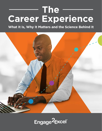# **The Career Experience**

**What It Is, Why It Matters and the Science Behind It** 



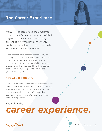## **The Career Experience**

Many HR leaders praise the employee experience (EX) as the holy grail of their organizational initiatives, but things are changing. What if this view only captures a small fraction of — ironically — the employee experience?

What if there were a broader understanding of the employee's career? You would be able to see through employees' eyes why they joined your company, what they hope to do in life and where they're going. Then you could help them position themselves in your company to achieve their goals as well as yours.

### You would both win.

We've written about the employee experience in the past, how creating great experiences and providing a framework for practitioners develops the holistic employee experience. Now we're expanding our view on what it means to have a truly great employee experience.

#### We call it the

# *career experience.*

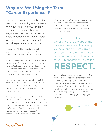# **Why Are We Using the Term "Career Experience"?**

The career experience is a broader term than the employee experience. While EX initiatives focus mainly on objective measurables like engagement scores, performance goals, feedback and survey results, we believe the view of an employee's actual experience has expanded.

Measuring KPIs like these is only half the battle. What do you do with all that information? And what does it all mean?

An employee doesn't think in terms of these measurables. They want to know that they have a stable job and a growing future. They want to feed their families and send their kids to college while also growing at their organization and feeling challenged.

But you also care about more than just the employee. You care about job seekers and candidates. You care about the gig and freelance workers. You care about the retired workers and alumni.

Most organizations currently think in EX terms. But there's a problem. Without any real science behind those objective measures and data, EX falls flat and fails to improve business performance. Thinking in just objective, measurable terms doesn't account for the entirety of the employee's experience.

It's a *transactional* relationship rather than a *relational* one. The original intentions behind EX lead us to a new vision for relational perceptions of employees and their experiences.

In short, the employee experience is *really* about the career experience. That's why we developed a data-driven, science-backed framework to provide meaning and purpose to your measurables. It's called

# **RESPECT.**

But first, let's explain more about why the "career experience" is a better term for explaining the employee experience, and how that affects business results and how providing a framework for practitioners develops the holistic employee experience. Now we're expanding our view on what it means to have a truly great employee experience.

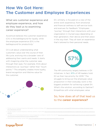# **How We Got Here: The Customer and Employee Experiences**

What are customer experience and employee experience, and how do they lead us to examining career experience?

Accenture believes the customer experience (CX) is the battleground for *loyalty,* while the employee experience (EX) is the battleground for *productivity.1*

CX is all about understanding what customers value over the course of their life cycle, evolving into a broader view of addressing their wants and needs. It starts with imagining what the customer sees through their eyes. For example, think about interactions as "journeys" rather than "touch points."2 This empathy creates more loyalty, brand recognition and lifetime value for the customer.



EX, similarly, is focused on a view of the entire work experience, from emotional and financial wellness to self-service tools and avenues for feedback.<sup>3</sup> Employees "journey" through their interactions with your organization in myriad ways depending on their generation, their device and their place in the org chart. They all want an experience that's tailored to their personal needs.



The HR community largely believes in EX initiatives. In fact, **57%** of HR leaders hold EX as their top priority for 2019.<sup>4</sup> The struggle to bring out the employee value proposition in their everyday work is the biggest problem for achieving a great EX. What's the solution, according to Gartner? Empathize with what employees value.

## So, how does all of that lead us to the career experience?

Michael Liley et al. Employee Experience Reimagined. Accenture Strategy. 2017. [https://www.accenture.com/us-en/\\_acnmedia/PDF-64/Accenture\\_Strategy\\_Employee\\_Experi](https://www.accenture.com/us-en/_acnmedia/PDF-64/Accenture_Strategy_Employee_Experience_Reimagined_POV.pdf)[ence\\_Reimagined\\_POV.pdf](https://www.accenture.com/us-en/_acnmedia/PDF-64/Accenture_Strategy_Employee_Experience_Reimagined_POV.pdf)

2. The CEO Guide to Customer Experience. McKinsey Quarterly. August 2016. [https://www.mckinsey.com/business-functions/operations/our-insights/the-ceo-guide-to-customer-ex](https://www.mckinsey.com/business-functions/operations/our-insights/the-ceo-guide-to-customer-experience)[perience](https://www.mckinsey.com/business-functions/operations/our-insights/the-ceo-guide-to-customer-experience)

3. Josh Bersin et al. The Employee Experience: Culture, Engagement, and Beyond. Deloitte. Feb. 28, 2017. [https://www2.deloitte.com/insights/us/en/focus/human-capital-trends/2017/](https://www2.deloitte.com/insights/us/en/focus/human-capital-trends/2017/improving-the-employee-experience-culture-engagement.html) [improving-the-employee-experience-culture-engagement.html](https://www2.deloitte.com/insights/us/en/focus/human-capital-trends/2017/improving-the-employee-experience-culture-engagement.html)

4. 2019 HR Executive Priorities. Gartner. 2019. <https://www.gartner.com/en/human-resources/trends/2019-hr-priorities>

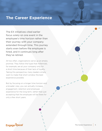# **The Career Experience**

The EX initiatives cited earlier focus solely on one event in the employee's time horizon rather than their journey with your company extended through time. This journey starts even before the employee is hired, and it continues long after they've retired.

All too often, organizations serve up an empty promise. They follow the hype that millennials, for example, are at your company only for a short time because of their lack of loyalty. Taking this perspective, many leaders simply want to make that short window the best experience possible.

But by focusing on a longer time horizon and a broader view, you can actually increase engagement, retention and employee experience for the long term, rather than just accepting that the employee will be there for only a few short years.

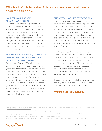### **Why is all of this important?** Here are a few reasons why we're addressing this now.

#### YOUNGER WORKERS ARE FINANCIALLY INSECURE

It's well known that young people are financially insecure.5 Between crushing student loans, rising healthcare costs and stagnant wage growth, young workers are aching for a holistic approach to their careers, especially regarding soft skills, recognition and rewards, benefits and worklife balance.<sup>6</sup> Workers are putting more demand on organizations to fill these needs than ever before.

#### THE WORKFORCE IS AGING, AUTOMATION IS INCREASING AND SOCIOPOLITICAL INSTABILITY IS MORE INTENSE

Bain's Labor Report 2030 cites three big shifts in the workplace in the coming years that will affect not only work but the cultural milieu in which your employees are immersed. There's a demographic shift in an aging workforce, a lack of productivity and wage growth due to automation, and rising inequality and instability between classes and governments.7 All three of these factors force a kind of paternalism onto the organization because they are in a position to provide stability to their workers.

#### EMPLOYEES HAVE NEW EXPECTATIONS

From a more micro-perspective, employees have new expectations that companies are finding difficult to wrap their minds around and effectively serve. Fueled by consumer products, direct-to-consumer supply chains and mobile experiences, employees want the best of all possible worlds. This is not a bad thing. Employees are consumers after all, and their expectations have bled into the world of work.

Employees expect more personal and holistic work experiences similar to their journeys as a consumer, what Mercer calls "careers people crave," especially when it comes to technology.<sup>8</sup> They have these personalized, consumer-like expectations at every stage of their career, from their experience as a candidate to their experiences in retirement.<sup>9</sup>

This sounds great and all, but how can you actually create a great career experience for employees? What does it look like?

### **We're glad you asked.**

<sup>9.</sup> See the March–April 2018 issue of Harvard Business Review, The New Rules of Talent Management.<https://hbr.org/2018/03/the-new-rules-of-talent-management>



<sup>5.</sup> Ben Steverman. "America's Millennials Are Waking Up to a Grim Financial Future." Bloomberg. June 21, 2018. [https://www.bloomberg.com/news/articles/2018-06-21/america-s-mil](https://www.bloomberg.com/news/articles/2018-06-21/america-s-millennials-are-waking-up-to-a-grim-financial-future)[lennials-are-waking-up-to-a-grim-financial-future](https://www.bloomberg.com/news/articles/2018-06-21/america-s-millennials-are-waking-up-to-a-grim-financial-future)

<sup>6.</sup> The Deloitte Millennial Survey 2018. Deloitte. 2018.<https://www2.deloitte.com/global/en/pages/about-deloitte/articles/millennialsurvey.html>

<sup>7.</sup> Karen Harris et al. Labor 2030: The Collision of Demographics, Automation and Inequality. Bain & Company. Feb. 7, 2018. [https://www.bain.com/insights/labor-2030-the-colli](https://www.bain.com/insights/labor-2030-the-collision-of-demographics-automation-and-inequality/)[sion-of-demographics-automation-and-inequality/](https://www.bain.com/insights/labor-2030-the-collision-of-demographics-automation-and-inequality/)

<sup>8.</sup> Global Talent Trends 2019. Mercer. 2019. <https://www.mercer.com/our-thinking/career/global-talent-hr-trends.html>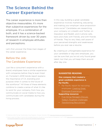# **The Science Behind the Career Experience**

The career experience is more than objective measurables. It's more than subjective experiences for the employee. It's a combination of both, and it has a science-backed framework driven by over 30 years of research in employee attitudes and perceptions.

Let's first uncover the three main stages of the career experience.

### Before the Job: The Candidate Experience

Just like a consumer's experience with a brand, employees have a similar experience with companies before they're even hired on. Forrester's 2019 trends report explains the importance of CX, branding and purpose when it comes to the future of the workforce.10 All three of these elements combine to create a sense of what it's like to work for your company, from how you communicate on social media to how you communicate with candidates during the hiring process.

In this way, building a great candidate experience involves marketing, educating and making your employer value proposition more social.<sup>11</sup> Candidates are researching your company on LinkedIn and Twitter, on Glassdoor and Reddit, and in phone calls, texts and chats with friends, and with friends of friends. They're very likely well aware of your perceived strengths and weaknesses before you ever see a resume.

By creating an unforgettable experience for your candidate or day-zero employee, you can be sure that you've not only found great talent, but that you will keep them around after day one.

#### **SUGGESTED READING**

**One company that created a great candidate experience is Par Pacific.**

• Par Pacific report for recruiting employees: [Creating Great](https://www.engage2excel.com/wp-content/uploads/2018/10/E2E_EB_EmployeeExperiences_TRDCGEE.V2-WEB.pdf)  [Employee Experiences](https://www.engage2excel.com/wp-content/uploads/2018/10/E2E_EB_EmployeeExperiences_TRDCGEE.V2-WEB.pdf)

#### **Supporting resources**

- [Five Hiring Managers Discuss](http://www.engage2excel.com/wp-content/uploads/2019/01/Trendicators_Hiring_Managers_WEB.pdf)  [Today's Toughest Challenges](http://www.engage2excel.com/wp-content/uploads/2019/01/Trendicators_Hiring_Managers_WEB.pdf)
- [Transforming Recruitment](http://www.engage2excel.com/wp-content/uploads/2018/09/E2E_TR_Transforming_Recruitment_to_Improve_Your_Companys_Competitive_Advantage_TRBP3.V1-WEB.pdf)

10. Predictions 2019: The Year Transformation Goes Pragmatic. Forrester. November 2018. <https://go.forrester.com/research/predictions/>

<sup>11.</sup> Sharyln Lauby. Four Ways to Improve the Candidate Experience. Society for Human Resource Management. April 11, 2018. [https://www.shrm.org/resourcesandtools/hr-topics/tal](https://www.shrm.org/resourcesandtools/hr-topics/talent-acquisition/pages/four-ways-to-improve-the-candidate-experience.aspx)[ent-acquisition/pages/four-ways-to-improve-the-candidate-experience.aspx](https://www.shrm.org/resourcesandtools/hr-topics/talent-acquisition/pages/four-ways-to-improve-the-candidate-experience.aspx)

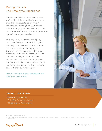### During the Job: The Employee Experience

Once a candidate becomes an employee, you're still not done working to win them over. The focus just takes a different perspective. To strengthen your vibrant culture, engage your unique employees and drive better business results, it's important to appreciate everyday excellence.

They say younger workers are flighty, but research suggests that their loyalty is strong once they buy in.<sup>12</sup> Recognition is a key to retention and engagement. Our own research has shown that when recognition is tied to business objectives and when managers celebrate the wins big and small, retention and engagement respond favorably — to the tune of 81% of respondents agreeing that they intend to stay with their current company.<sup>13</sup>

In short, be loyal to your employees and they'll be loyal to you.



#### **SUGGESTED READING**

#### Supporting resources

- [Why Do Employees Leave?](https://www.engage2excel.com/wp-content/uploads/2018/09/Engage2Excel_Why_Employees_Leave_Report-WEB.pdf)
- [Recognizing Performance](https://www.engage2excel.com/wp-content/uploads/2018/09/E2E_Recognizing_Performance_to_Improve_Your_Companys_Competitive_Advantage_TRBP2.V1-WEB.pdf)

12. The Deloitte Millennial Survey 2018[.](https://go.forrester.com/research/predictions/)

13. Why Do Employees Leave? Engage2Excel Trendicators Report. [https://www.engage2excel.com/wp-content/uploads/2018/09/Engage2Excel\\_Why\\_Employees\\_Leave\\_Re](https://www.engage2excel.com/wp-content/uploads/2018/09/Engage2Excel_Why_Employees_Leave_Report-WEB.pdf)[port-WEB.pdf](https://www.engage2excel.com/wp-content/uploads/2018/09/Engage2Excel_Why_Employees_Leave_Report-WEB.pdf)

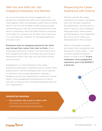### Well into and After the Job: Engaging Employees and Retirees

So, you've built great recruiting, engagement and recognition competencies within your organization, but what happens when an employee's career starts winding down? A lot of trust has been eroded among younger workers because of the way companies treat their more senior counterparts. We've all heard stories of someone who's been at a company for 30 years only to be let go in a "cost-reduction measure" to "decrease headcount and labor costs."

Employees want an engaging experience the entire way through their career, from start to finish. When employees experience a career they love, they're all-in, fully engaged and highly motivated, giving enormous discretionary effort. But they can't get there without some structure.

Engagement is a critical element to the career experience, particularly toward the end of a career. More experienced or retired employees often act as coaches or mentors to the younger generation, creating a feedback loop for your organization's long-term cultural health. Using engagement and experience surveys is one way to measure how connected employees are with your organization.14

### Respecting the Career Experience with Science

Without a doubt, the career experience is a science, developed over time through recognition and appreciation, exciting work, a sense of security and confidence, being paid fairly, career growth and transparency from leadership. But do you know where your employees are in their journey?

Without hard data to analyze and predict their progression and perception of their career — with a science-backed framework there's no way to know. To give employees a true engagement experience, give it the RESPECT it deserves.

#### **SUGGESTED READING**

• One company that comes to mind is UPS UPS report for retiring employees: [Creating Great Employee Experiences](https://www.engage2excel.com/wp-content/uploads/2018/10/E2E_EB_EmployeeExperiences_TRDCGEE.V2-WEB.pdf)

14. Measuring Engagement to Improve Your Company's Competitive Advantage. Engage2Excel Trendicators Report. <u>http</u> E2E\_Measuring\_Engagement\_TRBP1.V1-WEB.pdf?hsCtaTracking=d1a24354-9de5-4bfb-be88-7cd1c3cf7a0d%7C

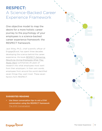# **RESPECT:**  A Science-Backed Career Experience Framework

One objective model to map the desire for a more holistic career journey to the psychology of your employees is a science-backed career experience framework: the RESPECT framework.

Jack Wiley, Ph.D., chief scientific officer of Engage2Excel, has spent three decades developing the science behind the career experience. His book *[RESPECT: Delivering](http://www.jackwiley.com/books.html)  [Results by Giving Employees What They](http://www.jackwiley.com/books.html)  [Really Want](http://www.jackwiley.com/books.html)* summarizes 25 years of research into what employees most want from their employers. In their own words, employees from around the world identified seven things they want most. These seven factors form RESPECT.



#### **SUGGESTED READING**

Use these conversation tips to aid a STAY conversation using the RESPECT framework [The STAY Conversation](http://www.engage2excel.com/wp-content/uploads/2019/03/E2E_RESPECT_Stay_Conversation_Tips.pdf)

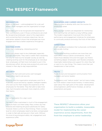# **The RESPECT Framework**

#### **RECOGNITION**

*A pat on the back — acknowledgment for a job well done — from managers and the organization at large*

**RECOGNITION**<br> *A pat on the back* — *acknowledgment for a job well*<br> *A pat on the back* — *acknowledgment for a job well*<br> *Opportunitie*<br> *Composition at large*<br> *Employees want to be recognized and respected for*<br>
Many Employees want to be recognized and respected for their contributions, even if those contributions are small. By recognizing employees' value to the organization and connecting that to business objectives, like we said earlier, research shows that employees are more engaged and have a better experience throughout.

#### EXCITING WORK

*A job that's challenging, interesting and fun*

Employees always want to be challenged, especially younger employees. They want a career that's rewarding not only for them but for broader society as well. By creating exciting work for the employee at an individual level, employees will feel more motivated to put in the discretionary effort, driving more productivity and more interest in their day-to-day responsibilities. **EXCITING**<br> *A job that's c*<br>
Employees a<br>
younger emp<br>
not only for

#### **SECURITY**

*Confidence that solid work and a well-managed organization lead to job security*

Knowing that the organization employees work for is financially sound and led by capable, intelligent leaders who look out for them shapes the experience of the employees for the better. They feel safe to take more risks, fuel innovation and push more creativity within their teams. **SECURITY**<br>Confidence to<br>organization<br>Knowing that<br>financially so

#### **PAY**

*Fair compensation for a day's work*

Fair pay is often overlooked in much of the engagement literature that's out there today. Many writers say that purpose and meaning are good substitutes for salary. However, there is a limit to that thinking. There is a base level for which employees need to be fairly compensated in order to feel safe and secure in their work. Without this kind of psychological safety net, engagement and experience suffer. **PAY**<br>Fair compen:<br>Fair pay is of<br>literature than<br>purpose and

These RESPECT dimensions allow your organization to build a scalable, measurable model for implementing the career experience across departments, from the front-line employee to senior leadership.

#### EDUCATION AND CAREER GROWTH

*Opportunities to develop skills over the course of a productive career*

Many younger workers are desperate for mentorship and coaching that will lead to a long, fulfilling career. The modern organization must push this into their performance and engagement initiatives for employees to continually produce and enjoy the fruits of their labor.

#### **CONDITIONS**

*A well-equipped workplace that is physically comfortable and socially inviting*

**CONDITIONS**<br>*A well-equippe*<br>*and socially inv*<br>Comfortable w<br>open-office-ve Comfortable working conditions are more than just open-office-versus-cubicle conversations. You've heard those debates time and time again, but there's something deeper. Employees want flexible schedules, meaningful relationships and support for when they fail or want to try new things. This means more than just headphones or free lunches.

#### **TRUTH**

*Frank, honest and transparent communication from managers and senior leaders*

**TRUTH**<br>Frank, hones<br>managers an<br>Transparency<br>but truth does Transparency and "radical candor" are hot topics today, but truth doesn't mean brutal honesty. It means being open about the right parts of the career: development and progression, performance missteps, as well as expectations and goals.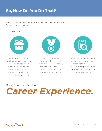# **So, How Do You Do That?**

The right partner can create these incredible career experiences for your employees today.

#### For example:



With onboarding and preboarding accelerators such as personalized welcome gifts to new hires before their first day on the job to protect your recruiting investment



With recognition programs that hit on all cylinders — performance, service and social — to make employees feel appreciated and valued



With an engagement and experience survey model that's bottom-up and takes a strategic, scientific approach to measure the career experience

### Bring Science into Your

*Career Experience.*